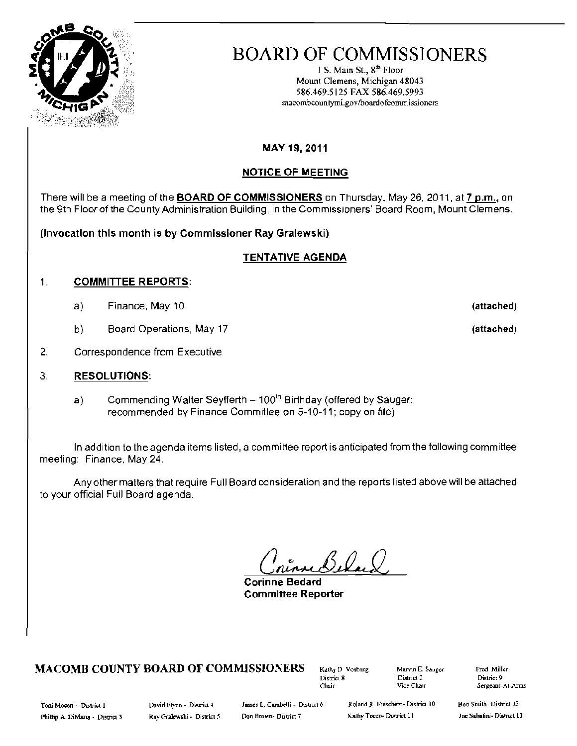

# BOARD OF COMMISSIONERS

1 S. Main St.,  $8<sup>th</sup>$  Floor Mount Clemens, Michigan 48043 586.469.5125 FAX 586.469.5993 macombcountymi.govlboardotcommissioncrs

# MAY 19, 2011

# NOTICE OF MEETING

There will be a meeting of the **BOARD OF COMMISSIONERS** on Thursday, May 26,2011, at 7 p.m., on the 9th Floor of the County Administration Building, in the Commissioners' Board Room, Mount Clemens.

**(Invocation this month is by Commissioner Ray Gralewski)** 

# TENTATIVE AGENDA

#### 1. COMMITTEE REPORTS:

- a) Finance, May 10 **(attached)**
- b) Board Operations, May 17 **(attached)**
- 2. Correspondence from Executive

#### 3. RESOLUTIONS:

a) Commending Walter Seyfferth  $-100<sup>th</sup>$  Birthday (offered by Sauger; recommended by Finance Committee on 5-10-11; copy on file)

In addition to the agenda items listed, a committee report is anticipated from the following committee meeting: Finance, May 24.

Any other matters that require Full Board consideralion and the reports listed above will be attached to your official Full Board agenda.

**Corinne Bedard Committee Reporter** 

# **MACOMB COUNTY BOARD OF COMMISSIONERS** Kathy D. Vosburg Marvin E. Sauger Fred Miller<br>District & District 9

District 8 District 2<br>Chair Vice Chair

Chait Vice Chair Sergeant-At-Arms

Phillip A. DiMaria - District 3 Ray Gralewski - District 5 Don Brown - District 7 Kathy Tocco- District 11 Joe Sabatini- District 13

Toni Moceri - District I Marvid Flynn - District 4 James L. Carabelli - District 6 Roland R. Frascbetti- District 10

Bob Snuth-District 12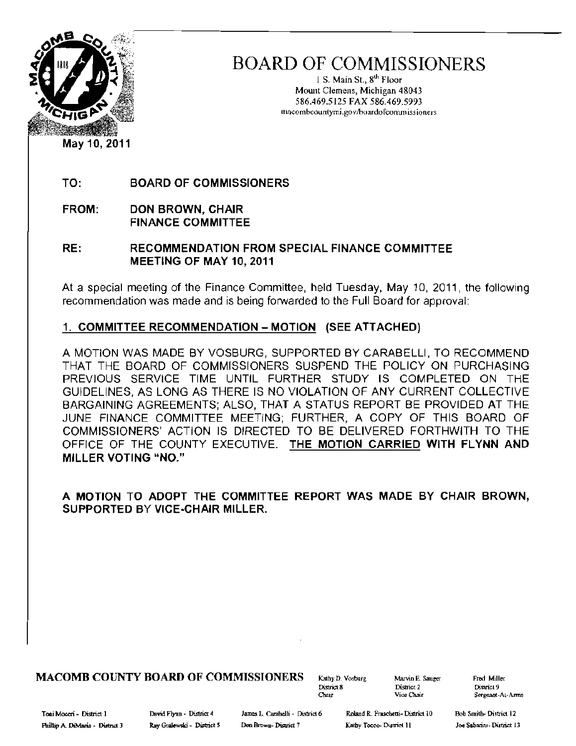

BOARD OF COMMISSIONERS

1 S. Main St.,  $8^{th}$  Floor Mount Clemens, Michigan 48043 586.469.5125 FAX 586.469.5993 tuacombcountymi.gov/boardofconunissioners

TO: BOARD OF COMMISSIONERS

FROM: DON BROWN, CHAIR FINANCE COMMITTEE

RE: RECOMMENDATION FROM SPECIAL FINANCE COMMITTEE MEETING OF MAY 10, 2011

At a special meeting of the Finance Committee, held Tuesday, May 10, 2011, the following recommendation was made and is being forwarded to the Full Board for approval:

# 1. COMMITTEE RECOMMENDATION - MOTION (SEE ATTACHED)

A MOTION WAS MADE BY VOSBURG, SUPPORTED BY CARABELLI, TO RECOMMEND THAT THE BOARD OF COMMISSIONERS SUSPEND THE POLICY ON PURCHASING PREVIOUS SERVICE TIME UNTIL FURTHER STUDY IS COMPLETED ON THE GUIDELINES, AS LONG AS THERE IS NO VIOLATION OF ANY CURRENT COLLECTIVE BARGAINING AGREEMENTS; ALSO, THAT A STATUS REPORT BE PROVIDED AT THE JUNE FINANCE COMMITTEE MEETING; FURTHER, A COPY OF THIS BOARD OF COMMISSIONERS' ACTION IS DIRECTED TO BE DELIVERED FORTHWITH TO THE OFFICE OF THE COUNTY EXECUTIVE. THE MOTION CARRIED WITH FLYNN AND MILLER VOTING "NO."

A MOTION TO ADOPT THE COMMITTEE REPORT WAS MADE BY CHAIR BROWN, SUPPORTED BY VICE·CHAIR MILLER.

MACOMB COUNTY BOARD OF COMMISSIONERS Kathy D. Vosburg Marvin E. Sauger Fred Miller<br>District 2 District 2

District 8 District 2 District 9<br>
District 2 District 2 District 9<br>
Open Pice Chair 2 Sergeant-At-Arms The Transformation Chair Sergeant-At-Arms<br>
Sergeant-At-Arms

Toni Mo=i - District I DuYid Flynn· DistriCI 4 ]ame:. L. Carabdli· District 6 RDland R FTlISCbelli- District 10 Bob Smith- District <sup>12</sup>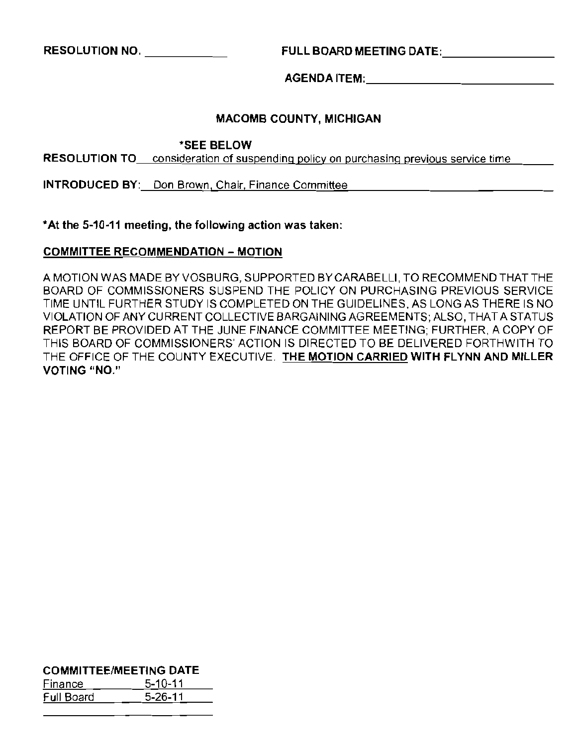RESOLUTION NO. \_ FULL BOARD MEETING DATE: \_

AGENDAITEM: \_

#### MACOMB COUNTY, MICHIGAN

'SEE BELOW

**RESOLUTION TO** consideration of suspending policy on purchasing previous service time

INTRODUCED BY: Don Brown, Chair, Finance Committee

'At the 5-10-11 meeting, the following action was taken:

#### COMMITTEE RECOMMENDATION - MOTION

A MOTION WAS MADE BY VOSBURG, SUPPORTED BYCARABELLI, TO RECOMMEND THAT THE BOARD OF COMMISSIONERS SUSPEND THE POLICY ON PURCHASING PREVIOUS SERVICE TIME UNTIL FURTHER STUDY IS COMPLETED ON THE GUIDELINES. AS LONG AS THERE IS NO VIOLATION OF ANY CURRENT COLLECTIVE BARGAINING AGREEMENTS; ALSO, THAT A STATUS REPORT BE PROVIDED AT THE JUNE FINANCE COMMITTEE MEETING; FURTHER, A COPY OF THIS BOARD OF COMMISSIONERS' ACTION IS DIRECTED TO BE DELIVERED FORTHWITH TO THE OFFICE OF THE COUNTY EXECUTIVE. THE MOTION CARRIED WITH FLYNN AND MILLER VOTING "NO."

COMMITTEE/MEETING DATE

| Finance    | $5 - 10 - 11$ |
|------------|---------------|
| Full Board | $5 - 26 - 11$ |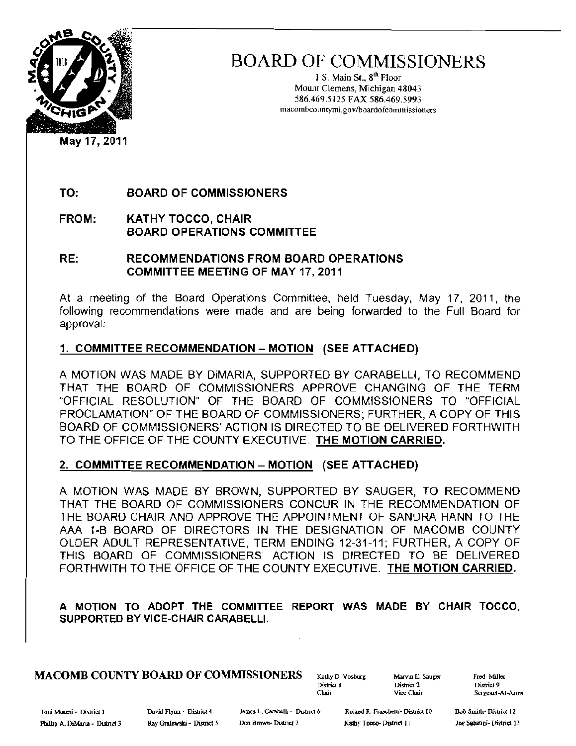

BOARD OF COMMISSIONERS

1 S. Main St., 8<sup>th</sup> Floor Mount Clemens, Michigan 48043 586.469.5125 FAX 586.469.5993 macombcountymi.gov/boardofcommissioners

TO: BOARD OF COMMISSIONERS

FROM: KATHY TOCCO, CHAIR BOARD OPERATIONS COMMITTEE

RE: RECOMMENDATIONS FROM BOARD OPERATIONS COMMITTEE MEETING OF MAY 17, 2011

At a meeting of the Board Operations Committee, held Tuesday, May 17, 2011, the following recommendations were made and are being forwarded to the Full Board for approval:

# 1. COMMITTEE RECOMMENDATION - MOTION (SEE ATTACHED)

A MOTION WAS MADE BY DiMARIA, SUPPORTED BY CARABELLI, TO RECOMMEND THAT THE BOARD OF COMMISSIONERS APPROVE CHANGING OF THE TERM 'OFFICIAL RESOLUTION' OF THE BOARD OF COMMISSIONERS TO 'OFFICIAL PROCLAMATION' OF THE BOARD OF COMMISSIONERS; FURTHER, A COPY OF THIS BOARD OF COMMISSIONERS' ACTION IS DIRECTED TO BE DELIVERED FORTHWITH TO THE OFFICE OF THE COUNTY EXECUTIVE. THE MOTION CARRIED,

#### 2. COMMITTEE RECOMMENDATION - MOTION (SEE ATTACHED)

A MOTION WAS MADE BY BROWN, SUPPORTED BY SAUGER, TO RECOMMEND THAT THE BOARD OF COMMISSIONERS CONCUR IN THE RECOMMENDATION OF THE BOARD CHAIR AND APPROVE THE APPOINTMENT OF SANDRA HANN TO THE AAA 1-B BOARD OF DIRECTORS IN THE DESIGNATION OF MACOMB COUNTY OLDER ADULT REPRESENTATIVE, TERM ENDING 12-31-11; FURTHER, A COPY OF THIS BOARD OF COMMISSIONERS' ACTION IS DIRECTED TO BE DELIVERED FORTHWITH TO THE OFFICE OF THE COUNTY EXECUTIVE. THE MOTION CARRIED,

A MOTION TO ADOPT THE COMMITTEE REPORT WAS MADE BY CHAIR TOCCO, SUPPORTED BY VICE-CHAIR CARABELLI.

# **MACOMB COUNTY BOARD OF COMMISSIONERS** Kathy D. Vosburg Marvin E. Sauges Fred Miller<br>District 9

Chair Vice Chair Sergeant-Al-Arms

District 9<br>Sergeant-Al-Arms

Toni Moceri - District 1 1 Movid Flynn - District 4 James L. Carabelli - District 6 Roland R. Fraschetti- District 10 Bob Smith- District 12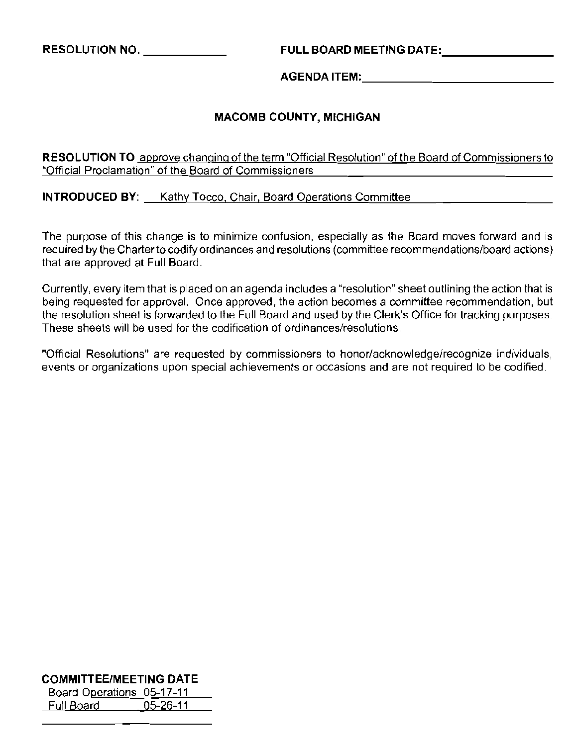**RESOLUTION** NO, \_ **FULL BOARD MEETING** DATE: \_

**AGENDA** ITEM: \_

# **MACOMB COUNTY, MICHIGAN**

**RESOLUTION TO** approve changing of the term "Official Resolution" of the Board of Commissioners to **"Official Proclamation" of the Board of Commissioners** 

**INTRODUCED BY:** A Kathy Tocco, Chair, Board Operations Committee

**The purpose of this change is to minimize confusion, especially as the Board moves forward and is**  required by the Charter to codify ordinances and resolutions (committee recommendations/board actions) that are approved at Full Board.

**Currently, every item that is placed on an agenda includes a "resolution" sheet outlining the action that is being requested for approval. Once approved, the action becomes a committee recommendation, but**  the resolution sheet is forwarded to the Full Board and used by the Clerk's Office for tracking purposes. **These sheets will be used for the codification of ordinances/resolutions.** 

**"Official Resolutions" are requested by commissioners to honor/acknowledge/recognize individuals, events or organizations upon special achievements or occasions and are not required to be codified.** 

# **COMMITTEE/MEETING DATE**

Board Operations 05-17-11 Full Board 05-26-11